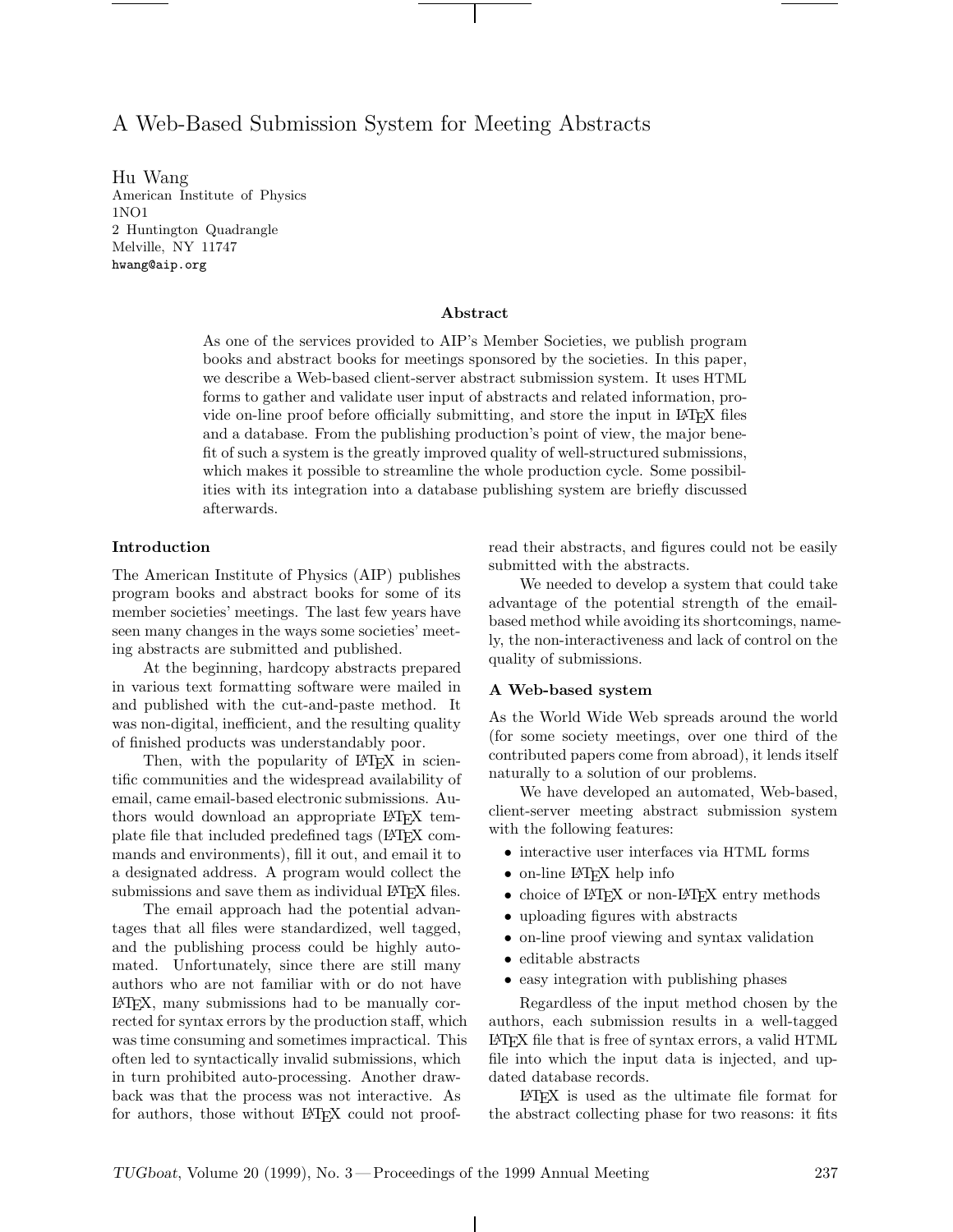# A Web-Based Submission System for Meeting Abstracts

Hu Wang American Institute of Physics 1NO1 2 Huntington Quadrangle Melville, NY 11747 hwang@aip.org

## **Abstract**

As one of the services provided to AIP's Member Societies, we publish program books and abstract books for meetings sponsored by the societies. In this paper, we describe a Web-based client-server abstract submission system. It uses HTML forms to gather and validate user input of abstracts and related information, provide on-line proof before officially submitting, and store the input in LATEX files and a database. From the publishing production's point of view, the major benefit of such a system is the greatly improved quality of well-structured submissions, which makes it possible to streamline the whole production cycle. Some possibilities with its integration into a database publishing system are briefly discussed afterwards.

# **Introduction**

The American Institute of Physics (AIP) publishes program books and abstract books for some of its member societies' meetings. The last few years have seen many changes in the ways some societies' meeting abstracts are submitted and published.

At the beginning, hardcopy abstracts prepared in various text formatting software were mailed in and published with the cut-and-paste method. It was non-digital, inefficient, and the resulting quality of finished products was understandably poor.

Then, with the popularity of LAT<sub>E</sub>X in scientific communities and the widespread availability of email, came email-based electronic submissions. Authors would download an appropriate LATEX template file that included predefined tags (LATEX commands and environments), fill it out, and email it to a designated address. A program would collect the submissions and save them as individual LAT<sub>EX</sub> files.

The email approach had the potential advantages that all files were standardized, well tagged, and the publishing process could be highly automated. Unfortunately, since there are still many authors who are not familiar with or do not have LATEX, many submissions had to be manually corrected for syntax errors by the production staff, which was time consuming and sometimes impractical. This often led to syntactically invalid submissions, which in turn prohibited auto-processing. Another drawback was that the process was not interactive. As for authors, those without LAT<sub>EX</sub> could not proofread their abstracts, and figures could not be easily submitted with the abstracts.

We needed to develop a system that could take advantage of the potential strength of the emailbased method while avoiding its shortcomings, namely, the non-interactiveness and lack of control on the quality of submissions.

#### **A Web-based system**

As the World Wide Web spreads around the world (for some society meetings, over one third of the contributed papers come from abroad), it lends itself naturally to a solution of our problems.

We have developed an automated, Web-based, client-server meeting abstract submission system with the following features:

- interactive user interfaces via HTML forms
- on-line L<sup>AT</sup>FX help info
- choice of LAT<sub>EX</sub> or non-LAT<sub>EX</sub> entry methods
- uploading figures with abstracts
- on-line proof viewing and syntax validation
- editable abstracts
- easy integration with publishing phases

Regardless of the input method chosen by the authors, each submission results in a well-tagged LATEX file that is free of syntax errors, a valid HTML file into which the input data is injected, and updated database records.

LATEX is used as the ultimate file format for the abstract collecting phase for two reasons: it fits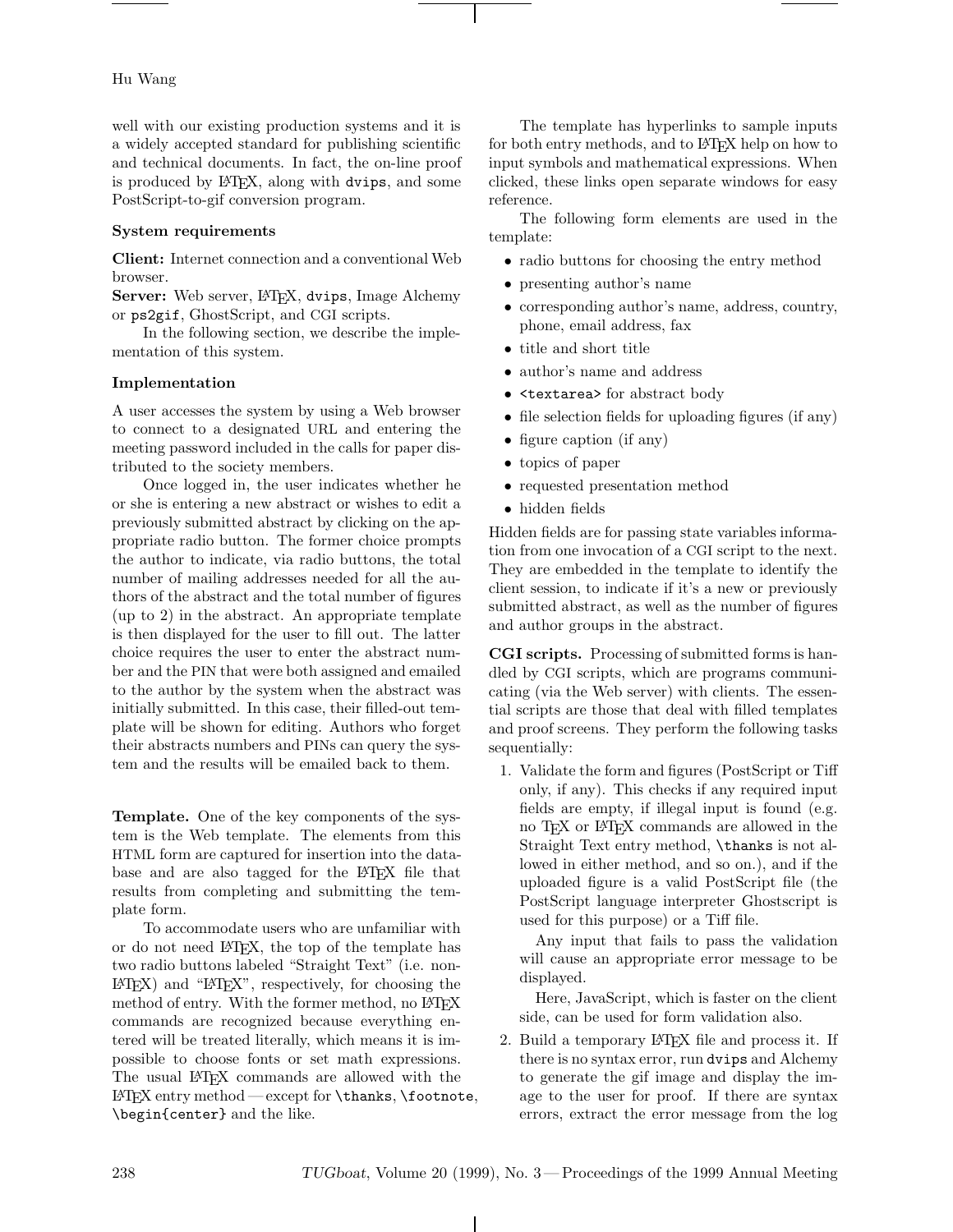# Hu Wang

well with our existing production systems and it is a widely accepted standard for publishing scientific and technical documents. In fact, the on-line proof is produced by L<sup>AT</sup>FX, along with dvips, and some PostScript-to-gif conversion program.

# **System requirements**

**Client:** Internet connection and a conventional Web browser.

Server: Web server, L<sup>AT</sup>EX, dvips, Image Alchemy or ps2gif, GhostScript, and CGI scripts.

In the following section, we describe the implementation of this system.

#### **Implementation**

A user accesses the system by using a Web browser to connect to a designated URL and entering the meeting password included in the calls for paper distributed to the society members.

Once logged in, the user indicates whether he or she is entering a new abstract or wishes to edit a previously submitted abstract by clicking on the appropriate radio button. The former choice prompts the author to indicate, via radio buttons, the total number of mailing addresses needed for all the authors of the abstract and the total number of figures (up to 2) in the abstract. An appropriate template is then displayed for the user to fill out. The latter choice requires the user to enter the abstract number and the PIN that were both assigned and emailed to the author by the system when the abstract was initially submitted. In this case, their filled-out template will be shown for editing. Authors who forget their abstracts numbers and PINs can query the system and the results will be emailed back to them.

**Template.** One of the key components of the system is the Web template. The elements from this HTML form are captured for insertion into the database and are also tagged for the LAT<sub>EX</sub> file that results from completing and submitting the template form.

To accommodate users who are unfamiliar with or do not need LATEX, the top of the template has two radio buttons labeled "Straight Text" (i.e. non- $L^2F_X$ ) and " $L^2F_X$ ", respectively, for choosing the method of entry. With the former method, no LATEX commands are recognized because everything entered will be treated literally, which means it is impossible to choose fonts or set math expressions. The usual LATEX commands are allowed with the LATEX entry method — except for \thanks, \footnote, \begin{center} and the like.

The template has hyperlinks to sample inputs for both entry methods, and to LAT<sub>EX</sub> help on how to input symbols and mathematical expressions. When clicked, these links open separate windows for easy reference.

The following form elements are used in the template:

- radio buttons for choosing the entry method
- presenting author's name
- corresponding author's name, address, country, phone, email address, fax
- title and short title
- author's name and address
- <textarea> for abstract body
- file selection fields for uploading figures (if any)
- figure caption (if any)
- topics of paper
- requested presentation method
- hidden fields

Hidden fields are for passing state variables information from one invocation of a CGI script to the next. They are embedded in the template to identify the client session, to indicate if it's a new or previously submitted abstract, as well as the number of figures and author groups in the abstract.

**CGI scripts.** Processing of submitted forms is handled by CGI scripts, which are programs communicating (via the Web server) with clients. The essential scripts are those that deal with filled templates and proof screens. They perform the following tasks sequentially:

1. Validate the form and figures (PostScript or Tiff only, if any). This checks if any required input fields are empty, if illegal input is found (e.g. no TEX or LATEX commands are allowed in the Straight Text entry method, \thanks is not allowed in either method, and so on.), and if the uploaded figure is a valid PostScript file (the PostScript language interpreter Ghostscript is used for this purpose) or a Tiff file.

Any input that fails to pass the validation will cause an appropriate error message to be displayed.

Here, JavaScript, which is faster on the client side, can be used for form validation also.

2. Build a temporary LATEX file and process it. If there is no syntax error, run dvips and Alchemy to generate the gif image and display the image to the user for proof. If there are syntax errors, extract the error message from the log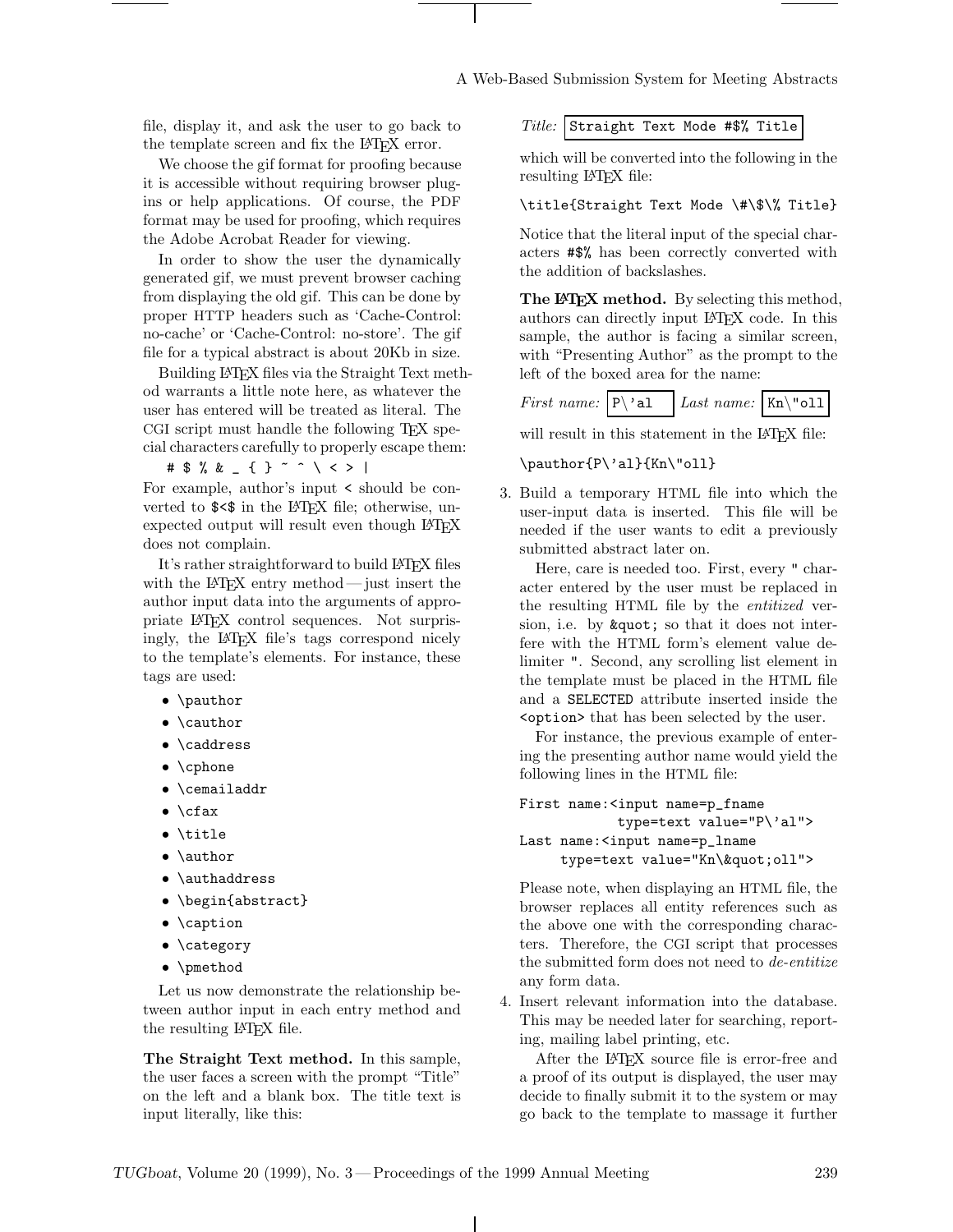file, display it, and ask the user to go back to the template screen and fix the L<sup>AT</sup>EX error.

We choose the gif format for proofing because it is accessible without requiring browser plugins or help applications. Of course, the PDF format may be used for proofing, which requires the Adobe Acrobat Reader for viewing.

In order to show the user the dynamically generated gif, we must prevent browser caching from displaying the old gif. This can be done by proper HTTP headers such as 'Cache-Control: no-cache' or 'Cache-Control: no-store'. The gif file for a typical abstract is about 20Kb in size.

Building LATEX files via the Straight Text method warrants a little note here, as whatever the user has entered will be treated as literal. The CGI script must handle the following TEX special characters carefully to properly escape them:

#\$%&\_{}~^\<>|

For example, author's input < should be converted to  $\sqrt{$\leq$}$  in the LAT<sub>F</sub>X file; otherwise, unexpected output will result even though LAT<sub>EX</sub> does not complain.

It's rather straightforward to build LATEX files with the LAT<sub>EX</sub> entry method — just insert the author input data into the arguments of appropriate LATEX control sequences. Not surprisingly, the LATEX file's tags correspond nicely to the template's elements. For instance, these tags are used:

- \pauthor
- \cauthor
- \caddress
- \cphone
- \cemailaddr
- \cfax
- \title
- \author
- \authaddress
- \begin{abstract}
- \caption
- \category
- \pmethod

Let us now demonstrate the relationship between author input in each entry method and the resulting LATEX file.

**The Straight Text method.** In this sample, the user faces a screen with the prompt "Title" on the left and a blank box. The title text is input literally, like this:

*Title:* Straight Text Mode #\$% Title

which will be converted into the following in the resulting LAT<sub>F</sub>X file:

# \title{Straight Text Mode \#\\$\% Title}

Notice that the literal input of the special characters #\$% has been correctly converted with the addition of backslashes.

The LAT<sub>E</sub>X method. By selecting this method, authors can directly input LATEX code. In this sample, the author is facing a similar screen, with "Presenting Author" as the prompt to the left of the boxed area for the name:

*First name:*  $\vert P \backslash \text{al} \vert$  *Last name:*  $\vert$ Kn $\backslash \text{vol}$ 

will result in this statement in the LAT<sub>E</sub>X file:

#### \pauthor{P\'al}{Kn\"oll}

3. Build a temporary HTML file into which the user-input data is inserted. This file will be needed if the user wants to edit a previously submitted abstract later on.

Here, care is needed too. First, every " character entered by the user must be replaced in the resulting HTML file by the *entitized* version, i.e. by  $\&$ quot; so that it does not interfere with the HTML form's element value delimiter ". Second, any scrolling list element in the template must be placed in the HTML file and a SELECTED attribute inserted inside the <option> that has been selected by the user.

For instance, the previous example of entering the presenting author name would yield the following lines in the HTML file:

```
First name:<input name=p_fname
           type=text value="P\'al">
Last name:<input name=p_lname
    type=text value="Kn\"oll">
```
Please note, when displaying an HTML file, the browser replaces all entity references such as the above one with the corresponding characters. Therefore, the CGI script that processes the submitted form does not need to *de-entitize* any form data.

4. Insert relevant information into the database. This may be needed later for searching, reporting, mailing label printing, etc.

After the LATEX source file is error-free and a proof of its output is displayed, the user may decide to finally submit it to the system or may go back to the template to massage it further